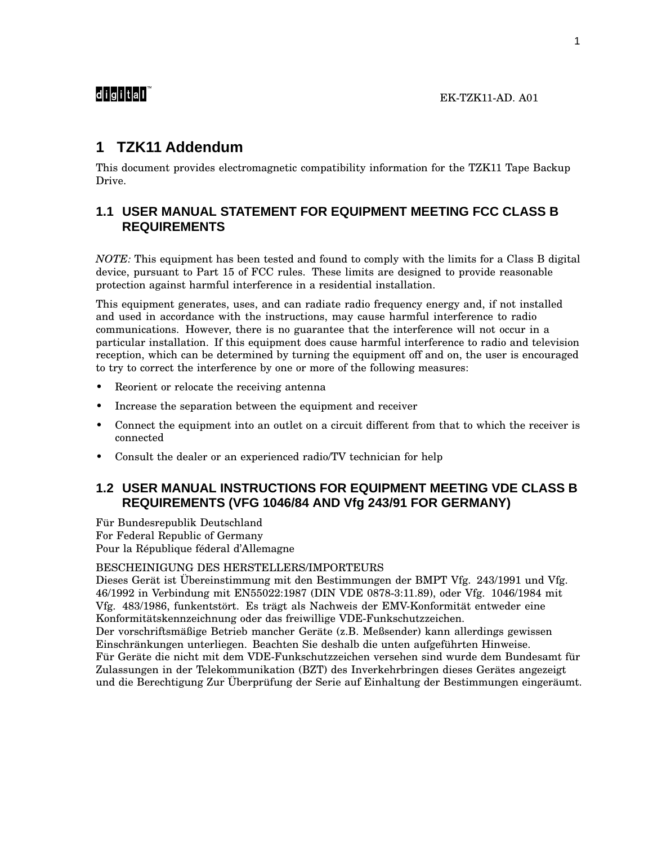# **1 TZK11 Addendum**

This document provides electromagnetic compatibility information for the TZK11 Tape Backup Drive.

## **1.1 USER MANUAL STATEMENT FOR EQUIPMENT MEETING FCC CLASS B REQUIREMENTS**

*NOTE:* This equipment has been tested and found to comply with the limits for a Class B digital device, pursuant to Part 15 of FCC rules. These limits are designed to provide reasonable protection against harmful interference in a residential installation.

This equipment generates, uses, and can radiate radio frequency energy and, if not installed and used in accordance with the instructions, may cause harmful interference to radio communications. However, there is no guarantee that the interference will not occur in a particular installation. If this equipment does cause harmful interference to radio and television reception, which can be determined by turning the equipment off and on, the user is encouraged to try to correct the interference by one or more of the following measures:

- Reorient or relocate the receiving antenna
- Increase the separation between the equipment and receiver
- Connect the equipment into an outlet on a circuit different from that to which the receiver is connected
- Consult the dealer or an experienced radio/TV technician for help

### **1.2 USER MANUAL INSTRUCTIONS FOR EQUIPMENT MEETING VDE CLASS B REQUIREMENTS (VFG 1046/84 AND Vfg 243/91 FOR GERMANY)**

Für Bundesrepublik Deutschland For Federal Republic of Germany Pour la République féderal d'Allemagne

#### BESCHEINIGUNG DES HERSTELLERS/IMPORTEURS

Dieses Gerät ist Übereinstimmung mit den Bestimmungen der BMPT Vfg. 243/1991 und Vfg. 46/1992 in Verbindung mit EN55022:1987 (DIN VDE 0878-3:11.89), oder Vfg. 1046/1984 mit Vfg. 483/1986, funkentstört. Es trägt als Nachweis der EMV-Konformität entweder eine Konformitätskennzeichnung oder das freiwillige VDE-Funkschutzzeichen.

Der vorschriftsmäßige Betrieb mancher Geräte (z.B. Meßsender) kann allerdings gewissen Einschränkungen unterliegen. Beachten Sie deshalb die unten aufgeführten Hinweise. Für Geräte die nicht mit dem VDE-Funkschutzzeichen versehen sind wurde dem Bundesamt für Zulassungen in der Telekommunikation (BZT) des Inverkehrbringen dieses Gerätes angezeigt und die Berechtigung Zur Überprüfung der Serie auf Einhaltung der Bestimmungen eingeräumt.